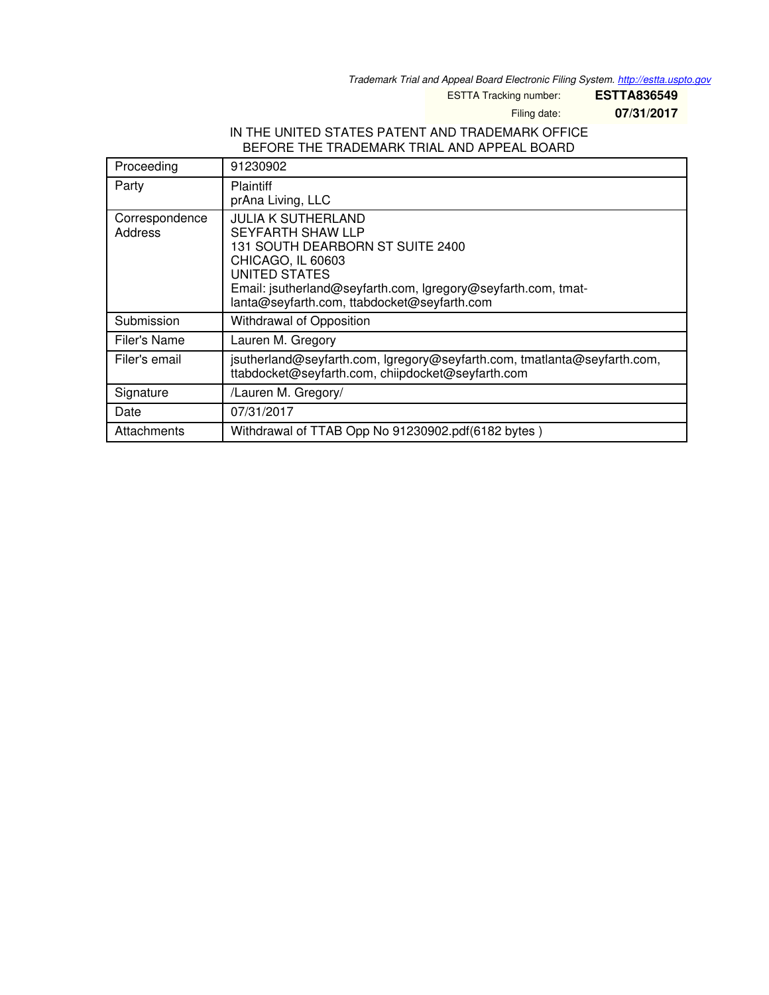*Trademark Trial and Appeal Board Electronic Filing System. <http://estta.uspto.gov>*

ESTTA Tracking number: **ESTTA836549**

Filing date: **07/31/2017**

## IN THE UNITED STATES PATENT AND TRADEMARK OFFICE BEFORE THE TRADEMARK TRIAL AND APPEAL BOARD

| Proceeding                       | 91230902                                                                                                                                                                                                                                               |
|----------------------------------|--------------------------------------------------------------------------------------------------------------------------------------------------------------------------------------------------------------------------------------------------------|
| Party                            | <b>Plaintiff</b><br>prAna Living, LLC                                                                                                                                                                                                                  |
| Correspondence<br><b>Address</b> | <b>JULIA K SUTHERLAND</b><br><b>SEYFARTH SHAW LLP</b><br>131 SOUTH DEARBORN ST SUITE 2400<br>CHICAGO, IL 60603<br><b>UNITED STATES</b><br>Email: jsutherland@seyfarth.com, Igregory@seyfarth.com, tmat-<br>lanta@seyfarth.com, ttabdocket@seyfarth.com |
| Submission                       | Withdrawal of Opposition                                                                                                                                                                                                                               |
| <b>Filer's Name</b>              | Lauren M. Gregory                                                                                                                                                                                                                                      |
| Filer's email                    | jsutherland@seyfarth.com, lgregory@seyfarth.com, tmatlanta@seyfarth.com,<br>ttabdocket@seyfarth.com, chiipdocket@seyfarth.com                                                                                                                          |
| Signature                        | /Lauren M. Gregory/                                                                                                                                                                                                                                    |
| Date                             | 07/31/2017                                                                                                                                                                                                                                             |
| Attachments                      | Withdrawal of TTAB Opp No 91230902.pdf(6182 bytes)                                                                                                                                                                                                     |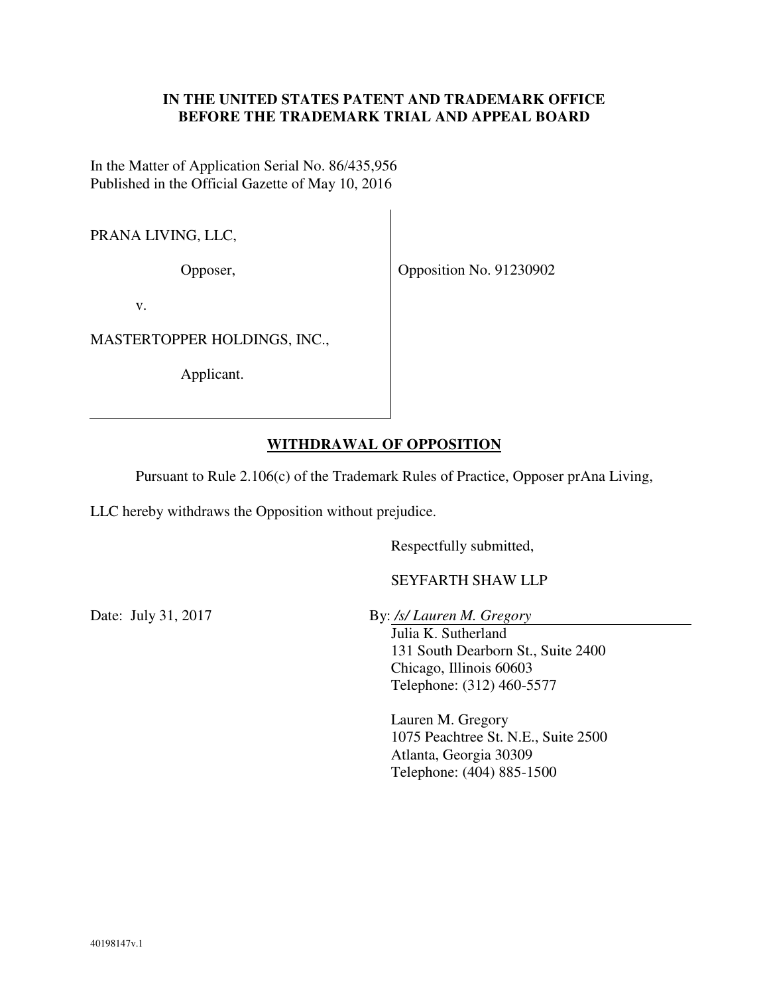## **IN THE UNITED STATES PATENT AND TRADEMARK OFFICE BEFORE THE TRADEMARK TRIAL AND APPEAL BOARD**

In the Matter of Application Serial No. 86/435,956 Published in the Official Gazette of May 10, 2016

PRANA LIVING, LLC,

Opposer,

Opposition No. 91230902

v.

MASTERTOPPER HOLDINGS, INC.,

Applicant.

## **WITHDRAWAL OF OPPOSITION**

Pursuant to Rule 2.106(c) of the Trademark Rules of Practice, Opposer prAna Living,

LLC hereby withdraws the Opposition without prejudice.

Respectfully submitted,

SEYFARTH SHAW LLP

Date: July 31, 2017 By: */s/ Lauren M. Gregory*

Julia K. Sutherland 131 South Dearborn St., Suite 2400 Chicago, Illinois 60603 Telephone: (312) 460-5577

Lauren M. Gregory 1075 Peachtree St. N.E., Suite 2500 Atlanta, Georgia 30309 Telephone: (404) 885-1500